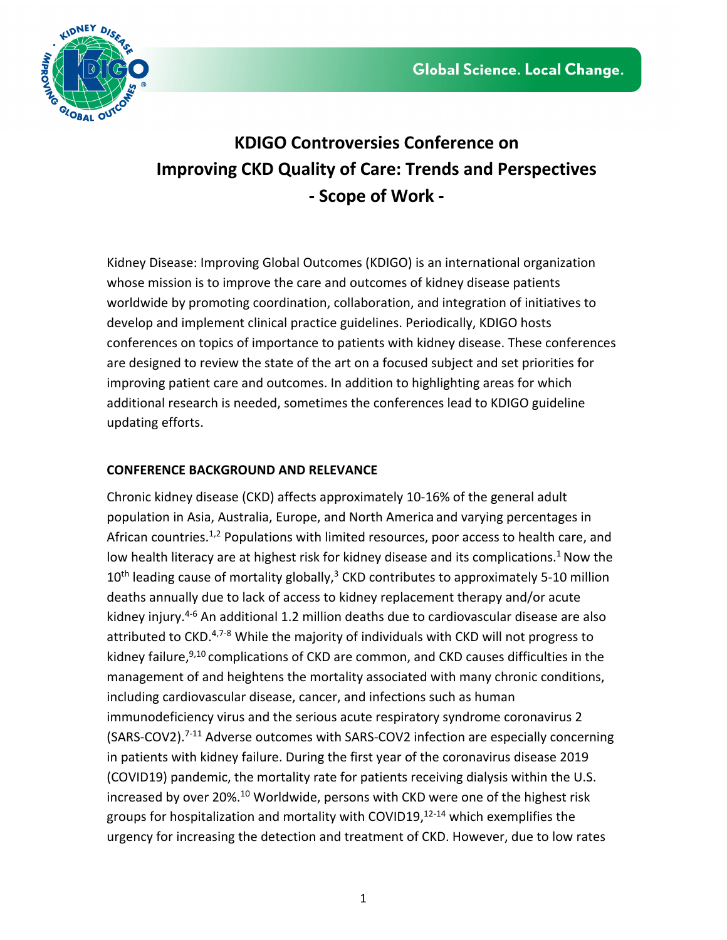

# **KDIGO Controversies Conference on Improving CKD Quality of Care: Trends and Perspectives - Scope of Work -**

Kidney Disease: Improving Global Outcomes (KDIGO) is an international organization whose mission is to improve the care and outcomes of kidney disease patients worldwide by promoting coordination, collaboration, and integration of initiatives to develop and implement clinical practice guidelines. Periodically, KDIGO hosts conferences on topics of importance to patients with kidney disease. These conferences are designed to review the state of the art on a focused subject and set priorities for improving patient care and outcomes. In addition to highlighting areas for which additional research is needed, sometimes the conferences lead to KDIGO guideline updating efforts.

# **CONFERENCE BACKGROUND AND RELEVANCE**

Chronic kidney disease (CKD) affects approximately 10-16% of the general adult population in Asia, Australia, Europe, and North America and varying percentages in African countries.<sup>1,2</sup> Populations with limited resources, poor access to health care, and low health literacy are at highest risk for kidney disease and its complications.<sup>1</sup> Now the  $10<sup>th</sup>$  leading cause of mortality globally,<sup>3</sup> CKD contributes to approximately 5-10 million deaths annually due to lack of access to kidney replacement therapy and/or acute kidney injury.<sup>4-6</sup> An additional 1.2 million deaths due to cardiovascular disease are also attributed to CKD.<sup>4,7-8</sup> While the majority of individuals with CKD will not progress to kidney failure,<sup>9,10</sup> complications of CKD are common, and CKD causes difficulties in the management of and heightens the mortality associated with many chronic conditions, including cardiovascular disease, cancer, and infections such as human immunodeficiency virus and the serious acute respiratory syndrome coronavirus 2 (SARS-COV2).<sup>7-11</sup> Adverse outcomes with SARS-COV2 infection are especially concerning in patients with kidney failure. During the first year of the coronavirus disease 2019 (COVID19) pandemic, the mortality rate for patients receiving dialysis within the U.S. increased by over 20%.<sup>10</sup> Worldwide, persons with CKD were one of the highest risk groups for hospitalization and mortality with COVID19, 12-14 which exemplifies the urgency for increasing the detection and treatment of CKD. However, due to low rates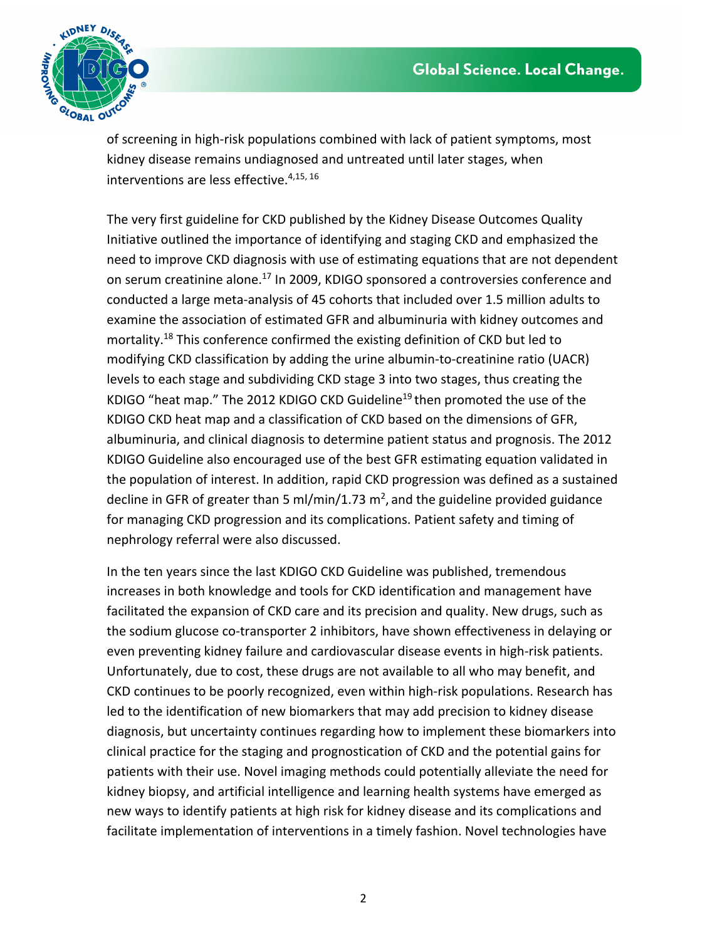

of screening in high-risk populations combined with lack of patient symptoms, most kidney disease remains undiagnosed and untreated until later stages, when interventions are less effective.<sup>4,15, 16</sup>

The very first guideline for CKD published by the Kidney Disease Outcomes Quality Initiative outlined the importance of identifying and staging CKD and emphasized the need to improve CKD diagnosis with use of estimating equations that are not dependent on serum creatinine alone.<sup>17</sup> In 2009, KDIGO sponsored a controversies conference and conducted a large meta-analysis of 45 cohorts that included over 1.5 million adults to examine the association of estimated GFR and albuminuria with kidney outcomes and mortality.<sup>18</sup> This conference confirmed the existing definition of CKD but led to modifying CKD classification by adding the urine albumin-to-creatinine ratio (UACR) levels to each stage and subdividing CKD stage 3 into two stages, thus creating the KDIGO "heat map." The 2012 KDIGO CKD Guideline<sup>19</sup> then promoted the use of the KDIGO CKD heat map and a classification of CKD based on the dimensions of GFR, albuminuria, and clinical diagnosis to determine patient status and prognosis. The 2012 KDIGO Guideline also encouraged use of the best GFR estimating equation validated in the population of interest. In addition, rapid CKD progression was defined as a sustained decline in GFR of greater than 5 ml/min/1.73  $m^2$ , and the guideline provided guidance for managing CKD progression and its complications. Patient safety and timing of nephrology referral were also discussed.

In the ten years since the last KDIGO CKD Guideline was published, tremendous increases in both knowledge and tools for CKD identification and management have facilitated the expansion of CKD care and its precision and quality. New drugs, such as the sodium glucose co-transporter 2 inhibitors, have shown effectiveness in delaying or even preventing kidney failure and cardiovascular disease events in high-risk patients. Unfortunately, due to cost, these drugs are not available to all who may benefit, and CKD continues to be poorly recognized, even within high-risk populations. Research has led to the identification of new biomarkers that may add precision to kidney disease diagnosis, but uncertainty continues regarding how to implement these biomarkers into clinical practice for the staging and prognostication of CKD and the potential gains for patients with their use. Novel imaging methods could potentially alleviate the need for kidney biopsy, and artificial intelligence and learning health systems have emerged as new ways to identify patients at high risk for kidney disease and its complications and facilitate implementation of interventions in a timely fashion. Novel technologies have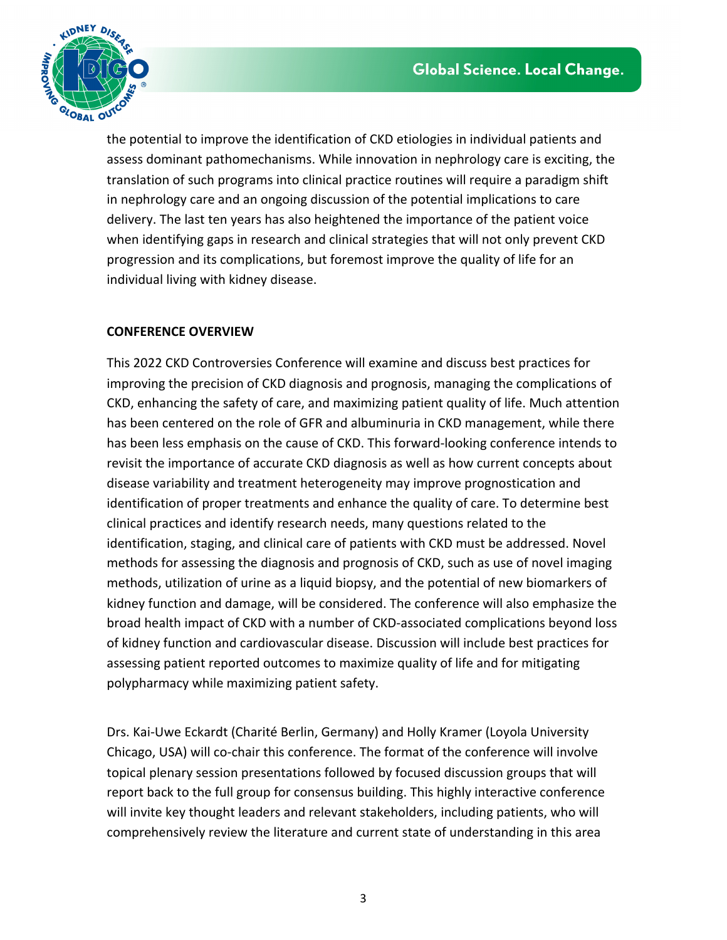

the potential to improve the identification of CKD etiologies in individual patients and assess dominant pathomechanisms. While innovation in nephrology care is exciting, the translation of such programs into clinical practice routines will require a paradigm shift in nephrology care and an ongoing discussion of the potential implications to care delivery. The last ten years has also heightened the importance of the patient voice when identifying gaps in research and clinical strategies that will not only prevent CKD progression and its complications, but foremost improve the quality of life for an individual living with kidney disease.

# **CONFERENCE OVERVIEW**

This 2022 CKD Controversies Conference will examine and discuss best practices for improving the precision of CKD diagnosis and prognosis, managing the complications of CKD, enhancing the safety of care, and maximizing patient quality of life. Much attention has been centered on the role of GFR and albuminuria in CKD management, while there has been less emphasis on the cause of CKD. This forward-looking conference intends to revisit the importance of accurate CKD diagnosis as well as how current concepts about disease variability and treatment heterogeneity may improve prognostication and identification of proper treatments and enhance the quality of care. To determine best clinical practices and identify research needs, many questions related to the identification, staging, and clinical care of patients with CKD must be addressed. Novel methods for assessing the diagnosis and prognosis of CKD, such as use of novel imaging methods, utilization of urine as a liquid biopsy, and the potential of new biomarkers of kidney function and damage, will be considered. The conference will also emphasize the broad health impact of CKD with a number of CKD-associated complications beyond loss of kidney function and cardiovascular disease. Discussion will include best practices for assessing patient reported outcomes to maximize quality of life and for mitigating polypharmacy while maximizing patient safety.

Drs. Kai-Uwe Eckardt (Charité Berlin, Germany) and Holly Kramer (Loyola University Chicago, USA) will co-chair this conference. The format of the conference will involve topical plenary session presentations followed by focused discussion groups that will report back to the full group for consensus building. This highly interactive conference will invite key thought leaders and relevant stakeholders, including patients, who will comprehensively review the literature and current state of understanding in this area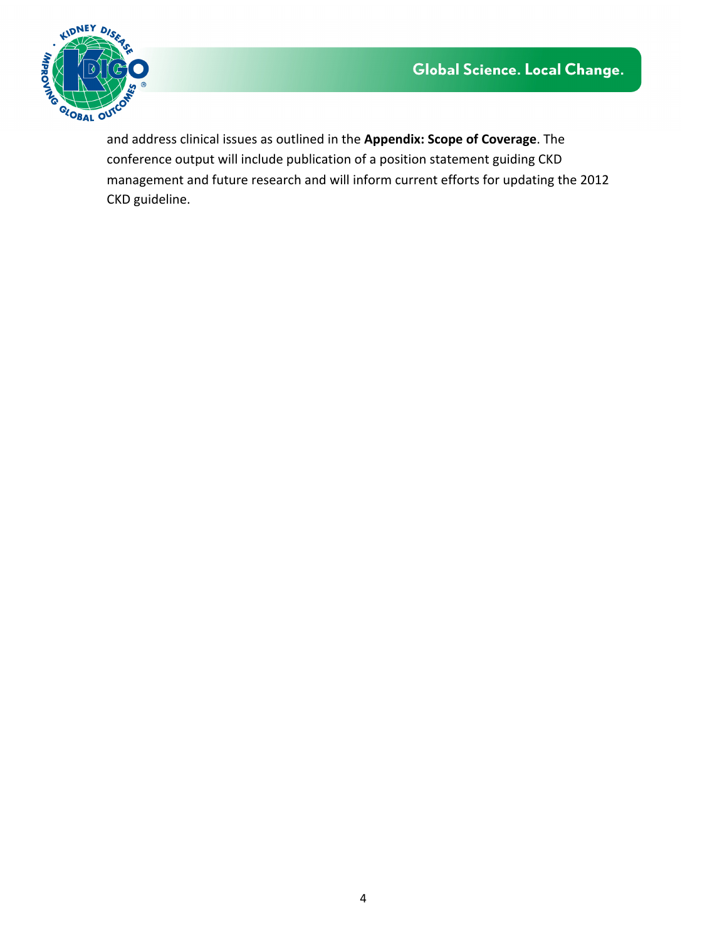

and address clinical issues as outlined in the **Appendix: Scope of Coverage**. The conference output will include publication of a position statement guiding CKD management and future research and will inform current efforts for updating the 2012 CKD guideline.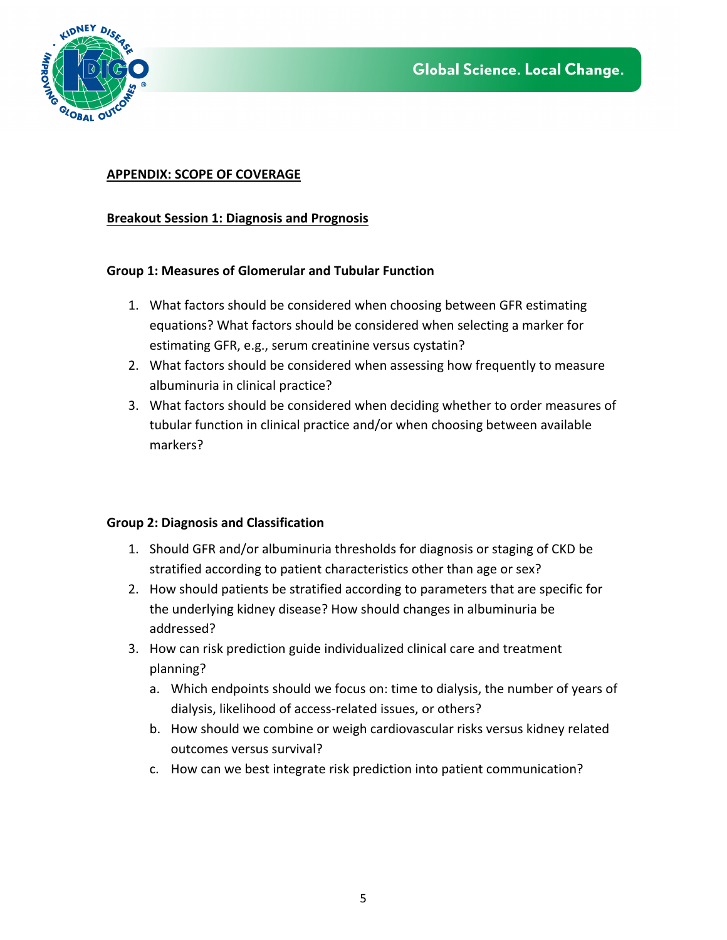

## **APPENDIX: SCOPE OF COVERAGE**

## **Breakout Session 1: Diagnosis and Prognosis**

### **Group 1: Measures of Glomerular and Tubular Function**

- 1. What factors should be considered when choosing between GFR estimating equations? What factors should be considered when selecting a marker for estimating GFR, e.g., serum creatinine versus cystatin?
- 2. What factors should be considered when assessing how frequently to measure albuminuria in clinical practice?
- 3. What factors should be considered when deciding whether to order measures of tubular function in clinical practice and/or when choosing between available markers?

### **Group 2: Diagnosis and Classification**

- 1. Should GFR and/or albuminuria thresholds for diagnosis or staging of CKD be stratified according to patient characteristics other than age or sex?
- 2. How should patients be stratified according to parameters that are specific for the underlying kidney disease? How should changes in albuminuria be addressed?
- 3. How can risk prediction guide individualized clinical care and treatment planning?
	- a. Which endpoints should we focus on: time to dialysis, the number of years of dialysis, likelihood of access-related issues, or others?
	- b. How should we combine or weigh cardiovascular risks versus kidney related outcomes versus survival?
	- c. How can we best integrate risk prediction into patient communication?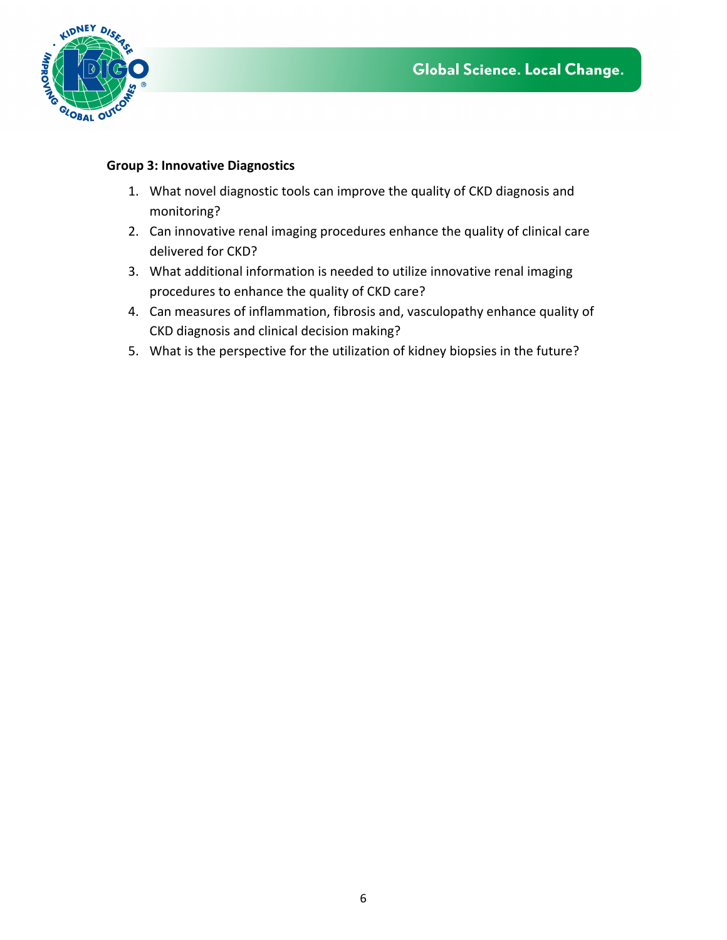

## **Group 3: Innovative Diagnostics**

- 1. What novel diagnostic tools can improve the quality of CKD diagnosis and monitoring?
- 2. Can innovative renal imaging procedures enhance the quality of clinical care delivered for CKD?
- 3. What additional information is needed to utilize innovative renal imaging procedures to enhance the quality of CKD care?
- 4. Can measures of inflammation, fibrosis and, vasculopathy enhance quality of CKD diagnosis and clinical decision making?
- 5. What is the perspective for the utilization of kidney biopsies in the future?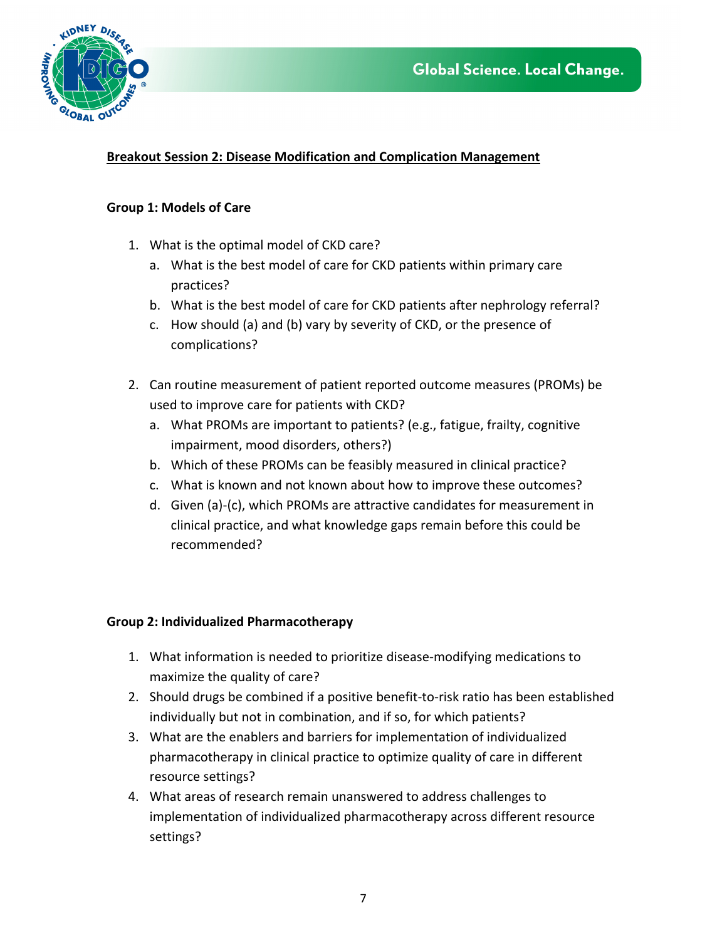



# **Breakout Session 2: Disease Modification and Complication Management**

#### **Group 1: Models of Care**

- 1. What is the optimal model of CKD care?
	- a. What is the best model of care for CKD patients within primary care practices?
	- b. What is the best model of care for CKD patients after nephrology referral?
	- c. How should (a) and (b) vary by severity of CKD, or the presence of complications?
- 2. Can routine measurement of patient reported outcome measures (PROMs) be used to improve care for patients with CKD?
	- a. What PROMs are important to patients? (e.g., fatigue, frailty, cognitive impairment, mood disorders, others?)
	- b. Which of these PROMs can be feasibly measured in clinical practice?
	- c. What is known and not known about how to improve these outcomes?
	- d. Given (a)-(c), which PROMs are attractive candidates for measurement in clinical practice, and what knowledge gaps remain before this could be recommended?

### **Group 2: Individualized Pharmacotherapy**

- 1. What information is needed to prioritize disease-modifying medications to maximize the quality of care?
- 2. Should drugs be combined if a positive benefit-to-risk ratio has been established individually but not in combination, and if so, for which patients?
- 3. What are the enablers and barriers for implementation of individualized pharmacotherapy in clinical practice to optimize quality of care in different resource settings?
- 4. What areas of research remain unanswered to address challenges to implementation of individualized pharmacotherapy across different resource settings?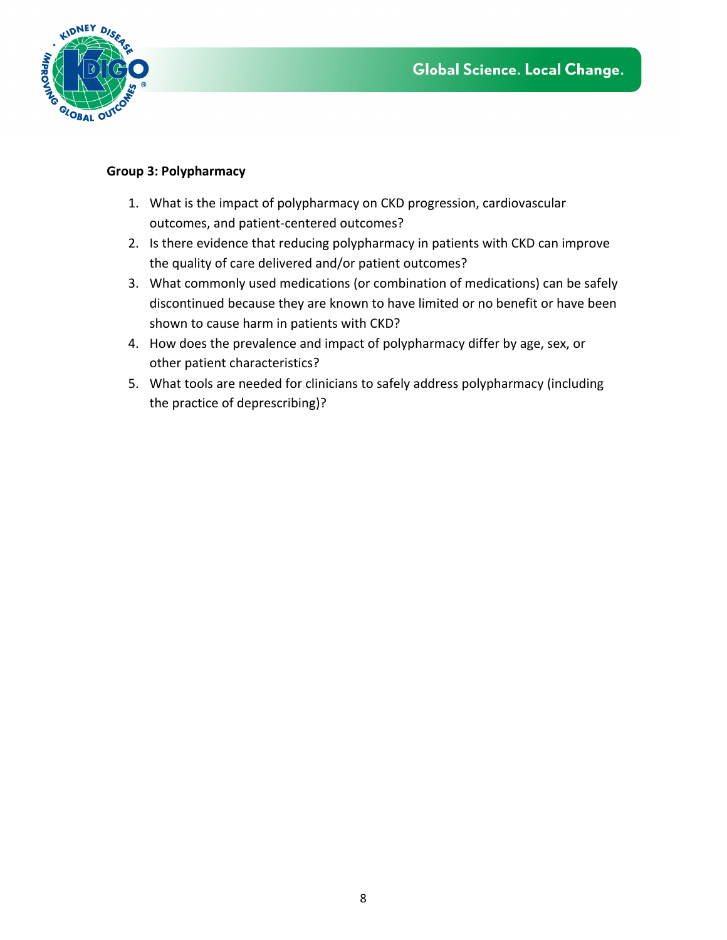

## **Group 3: Polypharmacy**

- 1. What is the impact of polypharmacy on CKD progression, cardiovascular outcomes, and patient-centered outcomes?
- 2. Is there evidence that reducing polypharmacy in patients with CKD can improve the quality of care delivered and/or patient outcomes?
- 3. What commonly used medications (or combination of medications) can be safely discontinued because they are known to have limited or no benefit or have been shown to cause harm in patients with CKD?
- 4. How does the prevalence and impact of polypharmacy differ by age, sex, or other patient characteristics?
- 5. What tools are needed for clinicians to safely address polypharmacy (including the practice of deprescribing)?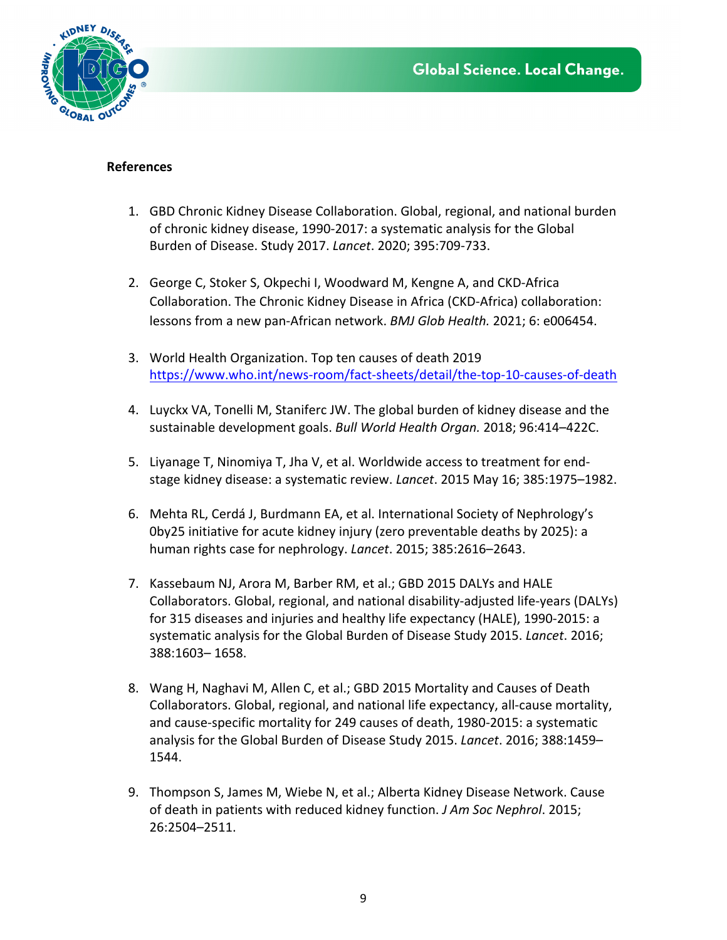



#### **References**

- 1. GBD Chronic Kidney Disease Collaboration. Global, regional, and national burden of chronic kidney disease, 1990-2017: a systematic analysis for the Global Burden of Disease. Study 2017. *Lancet*. 2020; 395:709-733.
- 2. George C, Stoker S, Okpechi I, Woodward M, Kengne A, and CKD-Africa Collaboration. The Chronic Kidney Disease in Africa (CKD-Africa) collaboration: lessons from a new pan-African network. *BMJ Glob Health.* 2021; 6: e006454.
- 3. World Health Organization. Top ten causes of death 2019 https://www.who.int/news-room/fact-sheets/detail/the-top-10-causes-of-death
- 4. Luyckx VA, Tonelli M, Staniferc JW. The global burden of kidney disease and the sustainable development goals. *Bull World Health Organ.* 2018; 96:414–422C.
- 5. Liyanage T, Ninomiya T, Jha V, et al. Worldwide access to treatment for endstage kidney disease: a systematic review. *Lancet*. 2015 May 16; 385:1975–1982.
- 6. Mehta RL, Cerdá J, Burdmann EA, et al. International Society of Nephrology's 0by25 initiative for acute kidney injury (zero preventable deaths by 2025): a human rights case for nephrology. *Lancet*. 2015; 385:2616–2643.
- 7. Kassebaum NJ, Arora M, Barber RM, et al.; GBD 2015 DALYs and HALE Collaborators. Global, regional, and national disability-adjusted life-years (DALYs) for 315 diseases and injuries and healthy life expectancy (HALE), 1990-2015: a systematic analysis for the Global Burden of Disease Study 2015. *Lancet*. 2016; 388:1603– 1658.
- 8. Wang H, Naghavi M, Allen C, et al.; GBD 2015 Mortality and Causes of Death Collaborators. Global, regional, and national life expectancy, all-cause mortality, and cause-specific mortality for 249 causes of death, 1980-2015: a systematic analysis for the Global Burden of Disease Study 2015. *Lancet*. 2016; 388:1459– 1544.
- 9. Thompson S, James M, Wiebe N, et al.; Alberta Kidney Disease Network. Cause of death in patients with reduced kidney function. *J Am Soc Nephrol*. 2015; 26:2504–2511.